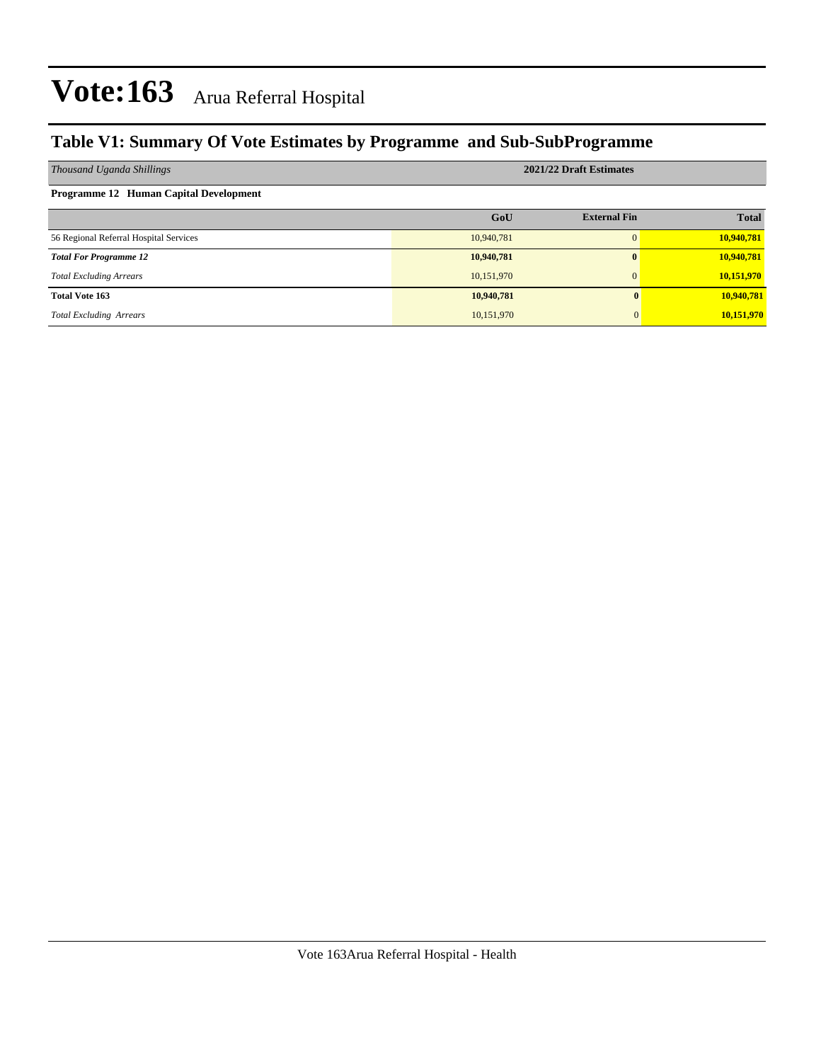### **Table V1: Summary Of Vote Estimates by Programme and Sub-SubProgramme**

| Thousand Uganda Shillings              | 2021/22 Draft Estimates |                     |              |  |  |  |  |  |
|----------------------------------------|-------------------------|---------------------|--------------|--|--|--|--|--|
| Programme 12 Human Capital Development |                         |                     |              |  |  |  |  |  |
|                                        | GoU                     | <b>External Fin</b> | <b>Total</b> |  |  |  |  |  |
| 56 Regional Referral Hospital Services | 10,940,781              | $\Omega$            | 10,940,781   |  |  |  |  |  |
| <b>Total For Programme 12</b>          | 10,940,781              | $\bf{0}$            | 10,940,781   |  |  |  |  |  |
| <b>Total Excluding Arrears</b>         | 10,151,970              | $\Omega$            | 10,151,970   |  |  |  |  |  |
| <b>Total Vote 163</b>                  | 10,940,781              |                     | 10,940,781   |  |  |  |  |  |
| <b>Total Excluding Arrears</b>         | 10,151,970              |                     | 10,151,970   |  |  |  |  |  |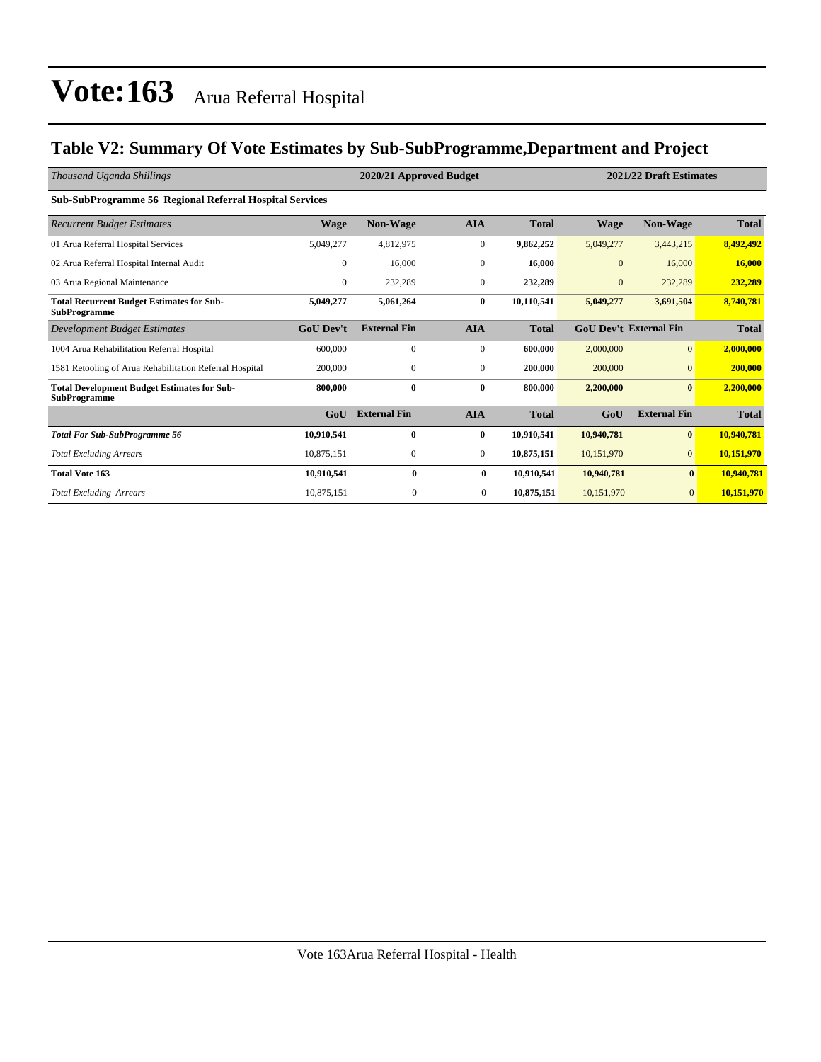### **Table V2: Summary Of Vote Estimates by Sub-SubProgramme,Department and Project**

| Thousand Uganda Shillings                                                 |                  | 2020/21 Approved Budget |                  |              | 2021/22 Draft Estimates |                               |              |  |
|---------------------------------------------------------------------------|------------------|-------------------------|------------------|--------------|-------------------------|-------------------------------|--------------|--|
| Sub-SubProgramme 56 Regional Referral Hospital Services                   |                  |                         |                  |              |                         |                               |              |  |
| <b>Recurrent Budget Estimates</b>                                         | Wage             | <b>Non-Wage</b>         | <b>AIA</b>       | <b>Total</b> | Wage                    | <b>Non-Wage</b>               | <b>Total</b> |  |
| 01 Arua Referral Hospital Services                                        | 5,049,277        | 4,812,975               | $\boldsymbol{0}$ | 9,862,252    | 5,049,277               | 3,443,215                     | 8,492,492    |  |
| 02 Arua Referral Hospital Internal Audit                                  | $\mathbf{0}$     | 16,000                  | $\mathbf{0}$     | 16,000       | $\mathbf{0}$            | 16,000                        | 16,000       |  |
| 03 Arua Regional Maintenance                                              | $\mathbf{0}$     | 232,289                 | $\mathbf{0}$     | 232,289      | $\mathbf{0}$            | 232,289                       | 232,289      |  |
| <b>Total Recurrent Budget Estimates for Sub-</b><br><b>SubProgramme</b>   | 5,049,277        | 5,061,264               | 0                | 10,110,541   | 5,049,277               | 3,691,504                     | 8,740,781    |  |
| Development Budget Estimates                                              | <b>GoU</b> Dev't | <b>External Fin</b>     | <b>AIA</b>       | <b>Total</b> |                         | <b>GoU Dev't External Fin</b> | <b>Total</b> |  |
| 1004 Arua Rehabilitation Referral Hospital                                | 600,000          | $\mathbf{0}$            | $\mathbf{0}$     | 600,000      | 2,000,000               | $\overline{0}$                | 2,000,000    |  |
| 1581 Retooling of Arua Rehabilitation Referral Hospital                   | 200,000          | $\mathbf{0}$            | $\mathbf{0}$     | 200,000      | 200,000                 | $\overline{0}$                | 200,000      |  |
| <b>Total Development Budget Estimates for Sub-</b><br><b>SubProgramme</b> | 800,000          | 0                       | $\bf{0}$         | 800,000      | 2,200,000               | $\bf{0}$                      | 2,200,000    |  |
|                                                                           | GoU              | <b>External Fin</b>     | <b>AIA</b>       | <b>Total</b> | GoU                     | <b>External Fin</b>           | <b>Total</b> |  |
| <b>Total For Sub-SubProgramme 56</b>                                      | 10,910,541       | 0                       | 0                | 10,910,541   | 10,940,781              | $\bf{0}$                      | 10,940,781   |  |
| <b>Total Excluding Arrears</b>                                            | 10,875,151       | $\mathbf{0}$            | $\mathbf{0}$     | 10,875,151   | 10,151,970              | $\overline{0}$                | 10,151,970   |  |
| <b>Total Vote 163</b>                                                     | 10,910,541       | $\bf{0}$                | $\bf{0}$         | 10,910,541   | 10,940,781              | $\bf{0}$                      | 10,940,781   |  |
| <b>Total Excluding Arrears</b>                                            | 10,875,151       | $\mathbf{0}$            | $\overline{0}$   | 10,875,151   | 10,151,970              | $\mathbf{0}$                  | 10,151,970   |  |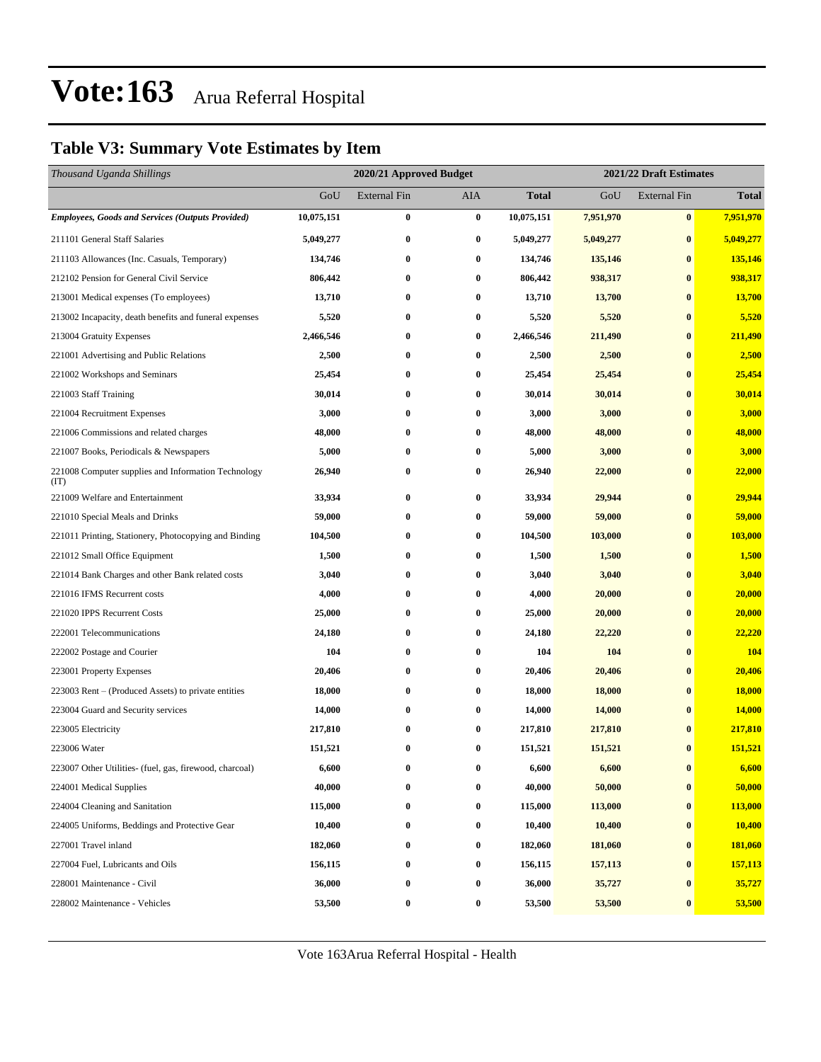### **Table V3: Summary Vote Estimates by Item**

| Thousand Uganda Shillings                                   |            | 2020/21 Approved Budget |                  |              | 2021/22 Draft Estimates |                     |              |  |
|-------------------------------------------------------------|------------|-------------------------|------------------|--------------|-------------------------|---------------------|--------------|--|
|                                                             | GoU        | <b>External Fin</b>     | <b>AIA</b>       | <b>Total</b> | GoU                     | <b>External Fin</b> | <b>Total</b> |  |
| <b>Employees, Goods and Services (Outputs Provided)</b>     | 10,075,151 | $\bf{0}$                | $\bf{0}$         | 10,075,151   | 7,951,970               | $\bf{0}$            | 7,951,970    |  |
| 211101 General Staff Salaries                               | 5,049,277  | $\bf{0}$                | $\bf{0}$         | 5,049,277    | 5,049,277               | $\bf{0}$            | 5,049,277    |  |
| 211103 Allowances (Inc. Casuals, Temporary)                 | 134,746    | $\bf{0}$                | $\bf{0}$         | 134,746      | 135,146                 | $\bf{0}$            | 135,146      |  |
| 212102 Pension for General Civil Service                    | 806,442    | $\bf{0}$                | $\bf{0}$         | 806,442      | 938,317                 | $\bf{0}$            | 938,317      |  |
| 213001 Medical expenses (To employees)                      | 13,710     | $\bf{0}$                | 0                | 13,710       | 13,700                  | $\bf{0}$            | 13,700       |  |
| 213002 Incapacity, death benefits and funeral expenses      | 5,520      | $\bf{0}$                | $\bf{0}$         | 5,520        | 5,520                   | $\bf{0}$            | 5,520        |  |
| 213004 Gratuity Expenses                                    | 2,466,546  | $\bf{0}$                | 0                | 2,466,546    | 211,490                 | $\bf{0}$            | 211,490      |  |
| 221001 Advertising and Public Relations                     | 2,500      | $\bf{0}$                | $\bf{0}$         | 2,500        | 2,500                   | $\bf{0}$            | 2,500        |  |
| 221002 Workshops and Seminars                               | 25,454     | $\bf{0}$                | $\bf{0}$         | 25,454       | 25,454                  | $\bf{0}$            | 25,454       |  |
| 221003 Staff Training                                       | 30,014     | $\bf{0}$                | $\bf{0}$         | 30,014       | 30,014                  | $\bf{0}$            | 30,014       |  |
| 221004 Recruitment Expenses                                 | 3,000      | $\bf{0}$                | $\bf{0}$         | 3,000        | 3,000                   | $\bf{0}$            | 3,000        |  |
| 221006 Commissions and related charges                      | 48,000     | $\bf{0}$                | 0                | 48,000       | 48,000                  | $\bf{0}$            | 48,000       |  |
| 221007 Books, Periodicals & Newspapers                      | 5,000      | $\bf{0}$                | $\bf{0}$         | 5,000        | 3,000                   | $\bf{0}$            | 3,000        |  |
| 221008 Computer supplies and Information Technology<br>(TT) | 26,940     | $\bf{0}$                | 0                | 26,940       | 22,000                  | $\bf{0}$            | 22,000       |  |
| 221009 Welfare and Entertainment                            | 33,934     | $\bf{0}$                | $\bf{0}$         | 33,934       | 29,944                  | $\bf{0}$            | 29,944       |  |
| 221010 Special Meals and Drinks                             | 59,000     | $\bf{0}$                | $\bf{0}$         | 59,000       | 59,000                  | $\bf{0}$            | 59,000       |  |
| 221011 Printing, Stationery, Photocopying and Binding       | 104,500    | $\bf{0}$                | $\bf{0}$         | 104,500      | 103,000                 | $\bf{0}$            | 103,000      |  |
| 221012 Small Office Equipment                               | 1,500      | $\bf{0}$                | $\bf{0}$         | 1,500        | 1,500                   | $\bf{0}$            | 1,500        |  |
| 221014 Bank Charges and other Bank related costs            | 3,040      | $\bf{0}$                | 0                | 3,040        | 3,040                   | $\bf{0}$            | 3,040        |  |
| 221016 IFMS Recurrent costs                                 | 4,000      | $\bf{0}$                | $\bf{0}$         | 4,000        | 20,000                  | $\bf{0}$            | 20,000       |  |
| 221020 IPPS Recurrent Costs                                 | 25,000     | $\bf{0}$                | $\bf{0}$         | 25,000       | 20,000                  | $\bf{0}$            | 20,000       |  |
| 222001 Telecommunications                                   | 24,180     | $\bf{0}$                | $\bf{0}$         | 24,180       | 22,220                  | $\bf{0}$            | 22,220       |  |
| 222002 Postage and Courier                                  | 104        | $\bf{0}$                | $\bf{0}$         | 104          | 104                     | $\bf{0}$            | 104          |  |
| 223001 Property Expenses                                    | 20,406     | $\bf{0}$                | $\bf{0}$         | 20,406       | 20,406                  | $\bf{0}$            | 20,406       |  |
| 223003 Rent – (Produced Assets) to private entities         | 18,000     | $\bf{0}$                | $\bf{0}$         | 18,000       | 18,000                  | $\bf{0}$            | 18,000       |  |
| 223004 Guard and Security services                          | 14,000     | $\bf{0}$                | $\bf{0}$         | 14,000       | 14,000                  | $\bf{0}$            | 14,000       |  |
| 223005 Electricity                                          | 217,810    | $\bf{0}$                | $\bf{0}$         | 217,810      | 217,810                 | $\bf{0}$            | 217,810      |  |
| 223006 Water                                                | 151,521    | $\bf{0}$                | $\bf{0}$         | 151,521      | 151,521                 | $\bf{0}$            | 151,521      |  |
| 223007 Other Utilities- (fuel, gas, firewood, charcoal)     | 6,600      | 0                       | $\boldsymbol{0}$ | 6,600        | 6,600                   | $\bf{0}$            | 6,600        |  |
| 224001 Medical Supplies                                     | 40,000     | $\bf{0}$                | $\bf{0}$         | 40,000       | 50,000                  | $\bf{0}$            | 50,000       |  |
| 224004 Cleaning and Sanitation                              | 115,000    | $\bf{0}$                | $\bf{0}$         | 115,000      | 113,000                 | $\bf{0}$            | 113,000      |  |
| 224005 Uniforms, Beddings and Protective Gear               | 10,400     | $\bf{0}$                | $\bf{0}$         | 10,400       | 10,400                  | $\bf{0}$            | 10,400       |  |
| 227001 Travel inland                                        | 182,060    | $\bf{0}$                | $\bf{0}$         | 182,060      | 181,060                 | $\bf{0}$            | 181,060      |  |
| 227004 Fuel, Lubricants and Oils                            | 156,115    | $\bf{0}$                | $\bf{0}$         | 156,115      | 157,113                 | $\bf{0}$            | 157,113      |  |
| 228001 Maintenance - Civil                                  | 36,000     | $\bf{0}$                | $\bf{0}$         | 36,000       | 35,727                  | $\bf{0}$            | 35,727       |  |
| 228002 Maintenance - Vehicles                               | 53,500     | $\bf{0}$                | $\bf{0}$         | 53,500       | 53,500                  | $\bf{0}$            | 53,500       |  |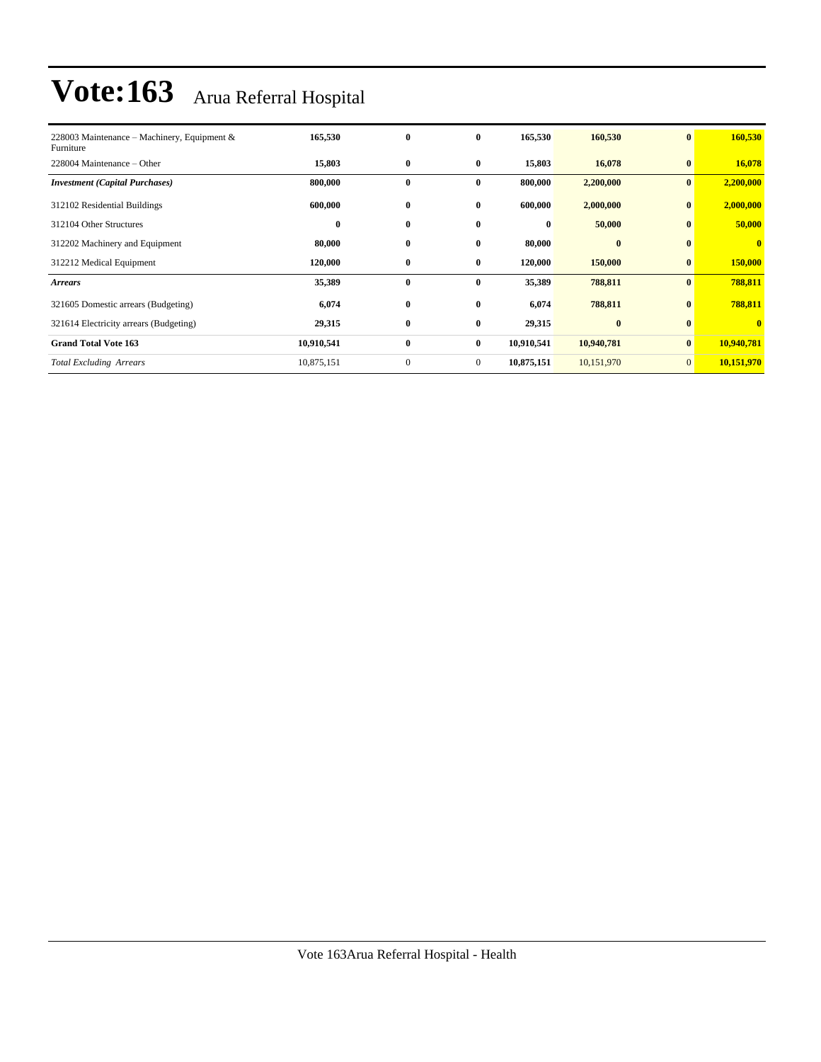| 228003 Maintenance – Machinery, Equipment &<br>Furniture | 165,530    | $\bf{0}$     | $\bf{0}$     | 165,530    | 160,530    | $\mathbf{0}$   | 160,530      |
|----------------------------------------------------------|------------|--------------|--------------|------------|------------|----------------|--------------|
| 228004 Maintenance – Other                               | 15,803     | $\bf{0}$     | $\bf{0}$     | 15,803     | 16,078     | $\bf{0}$       | 16,078       |
| <b>Investment</b> (Capital Purchases)                    | 800,000    | $\bf{0}$     | $\bf{0}$     | 800,000    | 2,200,000  | $\bf{0}$       | 2,200,000    |
| 312102 Residential Buildings                             | 600,000    | $\bf{0}$     | $\bf{0}$     | 600,000    | 2,000,000  | $\bf{0}$       | 2,000,000    |
| 312104 Other Structures                                  | $\bf{0}$   | $\bf{0}$     | $\bf{0}$     | $\bf{0}$   | 50,000     | $\mathbf{0}$   | 50,000       |
| 312202 Machinery and Equipment                           | 80,000     | $\bf{0}$     | $\bf{0}$     | 80,000     | $\bf{0}$   | $\bf{0}$       | $\mathbf{0}$ |
| 312212 Medical Equipment                                 | 120,000    | $\bf{0}$     | $\bf{0}$     | 120,000    | 150,000    | $\bf{0}$       | 150,000      |
| <b>Arrears</b>                                           | 35,389     | $\bf{0}$     | $\bf{0}$     | 35,389     | 788,811    | $\mathbf{0}$   | 788,811      |
| 321605 Domestic arrears (Budgeting)                      | 6,074      | $\bf{0}$     | $\bf{0}$     | 6,074      | 788,811    | $\bf{0}$       | 788,811      |
| 321614 Electricity arrears (Budgeting)                   | 29,315     | $\bf{0}$     | $\bf{0}$     | 29,315     | $\bf{0}$   | $\bf{0}$       | $\mathbf{0}$ |
| <b>Grand Total Vote 163</b>                              | 10,910,541 | $\bf{0}$     | $\bf{0}$     | 10,910,541 | 10,940,781 | $\bf{0}$       | 10,940,781   |
| <b>Total Excluding Arrears</b>                           | 10,875,151 | $\mathbf{0}$ | $\mathbf{0}$ | 10,875,151 | 10,151,970 | $\overline{0}$ | 10,151,970   |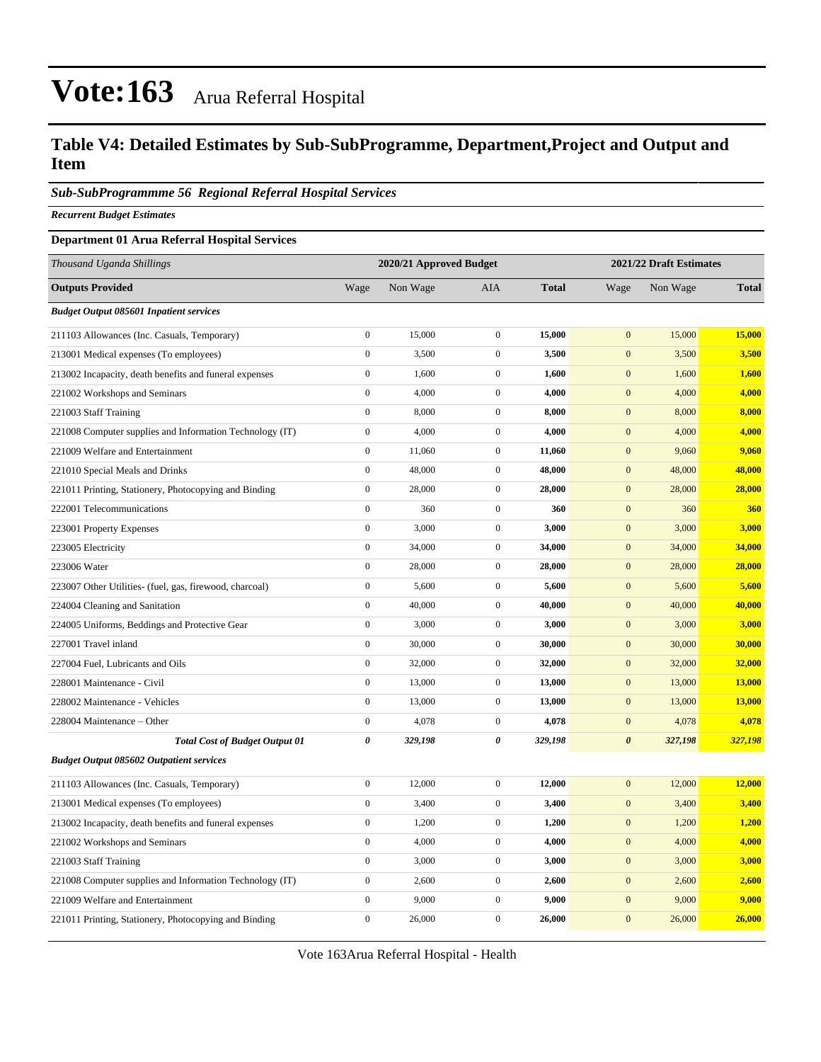### **Table V4: Detailed Estimates by Sub-SubProgramme, Department,Project and Output and Item**

#### *Sub-SubProgrammme 56 Regional Referral Hospital Services*

*Recurrent Budget Estimates*

#### **Department 01 Arua Referral Hospital Services**

| Thousand Uganda Shillings                                |                  | 2020/21 Approved Budget |                  |              |                       | 2021/22 Draft Estimates |              |  |
|----------------------------------------------------------|------------------|-------------------------|------------------|--------------|-----------------------|-------------------------|--------------|--|
| <b>Outputs Provided</b>                                  | Wage             | Non Wage                | <b>AIA</b>       | <b>Total</b> | Wage                  | Non Wage                | <b>Total</b> |  |
| <b>Budget Output 085601 Inpatient services</b>           |                  |                         |                  |              |                       |                         |              |  |
| 211103 Allowances (Inc. Casuals, Temporary)              | $\boldsymbol{0}$ | 15,000                  | $\boldsymbol{0}$ | 15,000       | $\mathbf{0}$          | 15,000                  | 15,000       |  |
| 213001 Medical expenses (To employees)                   | $\boldsymbol{0}$ | 3,500                   | $\mathbf{0}$     | 3,500        | $\overline{0}$        | 3,500                   | 3,500        |  |
| 213002 Incapacity, death benefits and funeral expenses   | $\boldsymbol{0}$ | 1,600                   | $\mathbf{0}$     | 1,600        | $\mathbf{0}$          | 1,600                   | 1,600        |  |
| 221002 Workshops and Seminars                            | $\boldsymbol{0}$ | 4,000                   | $\mathbf 0$      | 4,000        | $\mathbf{0}$          | 4,000                   | 4,000        |  |
| 221003 Staff Training                                    | $\boldsymbol{0}$ | 8,000                   | $\boldsymbol{0}$ | 8,000        | $\boldsymbol{0}$      | 8,000                   | 8,000        |  |
| 221008 Computer supplies and Information Technology (IT) | $\boldsymbol{0}$ | 4,000                   | $\mathbf{0}$     | 4,000        | $\mathbf{0}$          | 4,000                   | 4,000        |  |
| 221009 Welfare and Entertainment                         | $\boldsymbol{0}$ | 11,060                  | $\boldsymbol{0}$ | 11,060       | $\boldsymbol{0}$      | 9,060                   | 9,060        |  |
| 221010 Special Meals and Drinks                          | $\boldsymbol{0}$ | 48,000                  | $\mathbf 0$      | 48,000       | $\boldsymbol{0}$      | 48,000                  | 48,000       |  |
| 221011 Printing, Stationery, Photocopying and Binding    | $\boldsymbol{0}$ | 28,000                  | $\boldsymbol{0}$ | 28,000       | $\boldsymbol{0}$      | 28,000                  | 28,000       |  |
| 222001 Telecommunications                                | $\boldsymbol{0}$ | 360                     | $\mathbf{0}$     | 360          | $\mathbf{0}$          | 360                     | 360          |  |
| 223001 Property Expenses                                 | $\boldsymbol{0}$ | 3,000                   | $\boldsymbol{0}$ | 3,000        | $\boldsymbol{0}$      | 3,000                   | <b>3,000</b> |  |
| 223005 Electricity                                       | $\boldsymbol{0}$ | 34,000                  | $\mathbf 0$      | 34,000       | $\mathbf{0}$          | 34,000                  | 34,000       |  |
| 223006 Water                                             | $\boldsymbol{0}$ | 28,000                  | $\mathbf{0}$     | 28,000       | $\boldsymbol{0}$      | 28,000                  | 28,000       |  |
| 223007 Other Utilities- (fuel, gas, firewood, charcoal)  | $\boldsymbol{0}$ | 5,600                   | $\mathbf{0}$     | 5,600        | $\boldsymbol{0}$      | 5,600                   | 5,600        |  |
| 224004 Cleaning and Sanitation                           | $\boldsymbol{0}$ | 40,000                  | $\mathbf 0$      | 40,000       | $\mathbf{0}$          | 40,000                  | 40,000       |  |
| 224005 Uniforms, Beddings and Protective Gear            | $\boldsymbol{0}$ | 3,000                   | $\boldsymbol{0}$ | 3,000        | $\boldsymbol{0}$      | 3,000                   | 3,000        |  |
| 227001 Travel inland                                     | $\boldsymbol{0}$ | 30,000                  | $\mathbf{0}$     | 30,000       | $\mathbf{0}$          | 30,000                  | 30,000       |  |
| 227004 Fuel, Lubricants and Oils                         | $\mathbf{0}$     | 32,000                  | $\boldsymbol{0}$ | 32,000       | $\boldsymbol{0}$      | 32,000                  | 32,000       |  |
| 228001 Maintenance - Civil                               | $\boldsymbol{0}$ | 13,000                  | $\mathbf{0}$     | 13,000       | $\mathbf{0}$          | 13,000                  | 13,000       |  |
| 228002 Maintenance - Vehicles                            | $\boldsymbol{0}$ | 13,000                  | $\mathbf 0$      | 13,000       | $\mathbf{0}$          | 13,000                  | 13,000       |  |
| 228004 Maintenance - Other                               | $\boldsymbol{0}$ | 4,078                   | $\mathbf{0}$     | 4,078        | $\boldsymbol{0}$      | 4,078                   | 4,078        |  |
| <b>Total Cost of Budget Output 01</b>                    | $\pmb{\theta}$   | 329,198                 | 0                | 329,198      | $\boldsymbol{\theta}$ | 327,198                 | 327,198      |  |
| <b>Budget Output 085602 Outpatient services</b>          |                  |                         |                  |              |                       |                         |              |  |
| 211103 Allowances (Inc. Casuals, Temporary)              | $\boldsymbol{0}$ | 12,000                  | $\mathbf{0}$     | 12,000       | $\mathbf{0}$          | 12,000                  | 12,000       |  |
| 213001 Medical expenses (To employees)                   | $\boldsymbol{0}$ | 3,400                   | $\boldsymbol{0}$ | 3,400        | $\boldsymbol{0}$      | 3,400                   | 3,400        |  |
| 213002 Incapacity, death benefits and funeral expenses   | $\boldsymbol{0}$ | 1,200                   | $\mathbf{0}$     | 1,200        | $\mathbf{0}$          | 1,200                   | 1,200        |  |
| 221002 Workshops and Seminars                            | $\boldsymbol{0}$ | 4,000                   | $\boldsymbol{0}$ | 4,000        | $\boldsymbol{0}$      | 4,000                   | 4,000        |  |
| 221003 Staff Training                                    | $\boldsymbol{0}$ | 3,000                   | $\mathbf{0}$     | 3,000        | $\boldsymbol{0}$      | 3,000                   | 3,000        |  |
| 221008 Computer supplies and Information Technology (IT) | $\boldsymbol{0}$ | 2,600                   | $\boldsymbol{0}$ | 2,600        | $\boldsymbol{0}$      | 2,600                   | 2,600        |  |
| 221009 Welfare and Entertainment                         | $\boldsymbol{0}$ | 9,000                   | $\mathbf{0}$     | 9,000        | $\mathbf{0}$          | 9,000                   | 9,000        |  |
| 221011 Printing, Stationery, Photocopying and Binding    | $\mathbf{0}$     | 26,000                  | $\mathbf{0}$     | 26,000       | $\overline{0}$        | 26,000                  | 26,000       |  |

Vote 163Arua Referral Hospital - Health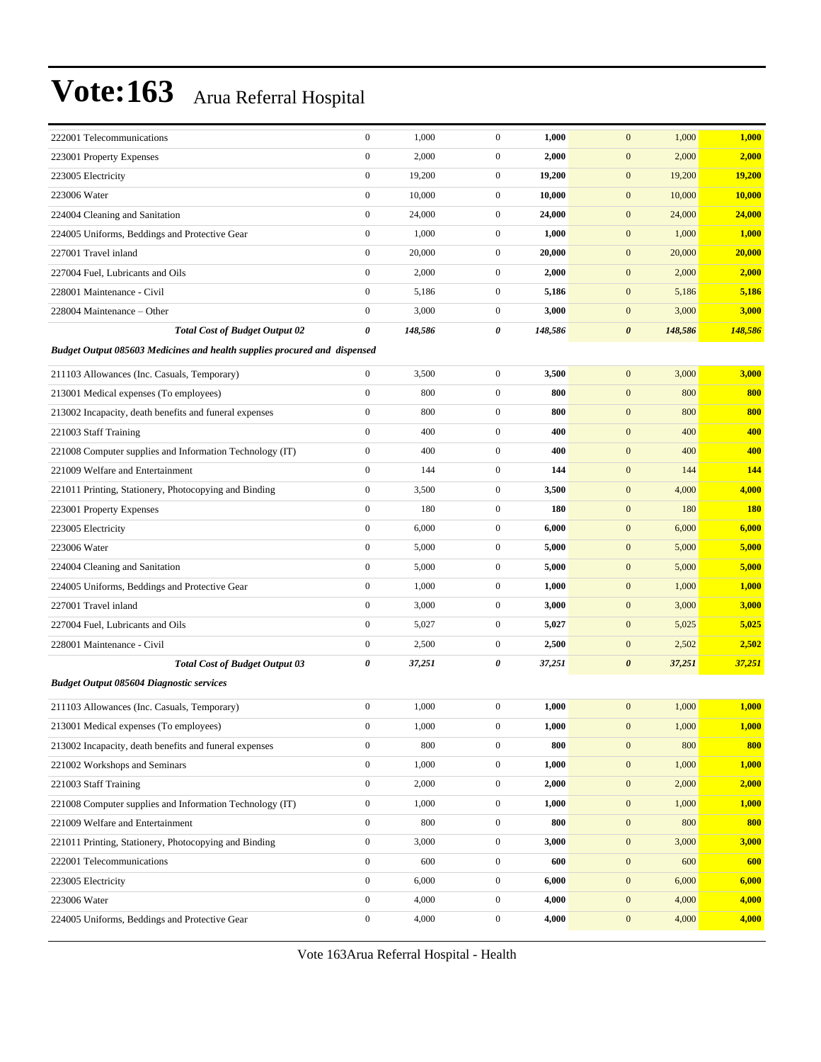| 222001 Telecommunications                                                        | $\boldsymbol{0}$ | 1,000   | $\boldsymbol{0}$ | 1,000   | $\mathbf{0}$<br>1,000            | 1,000      |  |  |  |  |
|----------------------------------------------------------------------------------|------------------|---------|------------------|---------|----------------------------------|------------|--|--|--|--|
| 223001 Property Expenses                                                         | $\boldsymbol{0}$ | 2,000   | $\mathbf{0}$     | 2,000   | $\boldsymbol{0}$<br>2,000        | 2,000      |  |  |  |  |
| 223005 Electricity                                                               | $\boldsymbol{0}$ | 19,200  | $\boldsymbol{0}$ | 19,200  | $\mathbf{0}$<br>19,200           | 19,200     |  |  |  |  |
| 223006 Water                                                                     | $\boldsymbol{0}$ | 10,000  | $\mathbf{0}$     | 10,000  | $\boldsymbol{0}$<br>10,000       | 10,000     |  |  |  |  |
| 224004 Cleaning and Sanitation                                                   | $\boldsymbol{0}$ | 24,000  | $\mathbf{0}$     | 24,000  | $\mathbf{0}$<br>24,000           | 24,000     |  |  |  |  |
| 224005 Uniforms, Beddings and Protective Gear                                    | $\boldsymbol{0}$ | 1,000   | $\boldsymbol{0}$ | 1,000   | $\boldsymbol{0}$<br>1,000        | 1,000      |  |  |  |  |
| 227001 Travel inland                                                             | $\boldsymbol{0}$ | 20,000  | $\boldsymbol{0}$ | 20,000  | $\mathbf{0}$<br>20,000           | 20,000     |  |  |  |  |
| 227004 Fuel, Lubricants and Oils                                                 | $\boldsymbol{0}$ | 2,000   | $\boldsymbol{0}$ | 2,000   | $\mathbf{0}$<br>2,000            | 2,000      |  |  |  |  |
| 228001 Maintenance - Civil                                                       | $\boldsymbol{0}$ | 5,186   | $\boldsymbol{0}$ | 5,186   | $\mathbf{0}$<br>5,186            | 5,186      |  |  |  |  |
| 228004 Maintenance – Other                                                       | $\boldsymbol{0}$ | 3,000   | $\mathbf{0}$     | 3,000   | $\mathbf{0}$<br>3,000            | 3,000      |  |  |  |  |
| <b>Total Cost of Budget Output 02</b>                                            | 0                | 148,586 | 0                | 148,586 | $\boldsymbol{\theta}$<br>148,586 | 148,586    |  |  |  |  |
| <b>Budget Output 085603 Medicines and health supplies procured and dispensed</b> |                  |         |                  |         |                                  |            |  |  |  |  |
| 211103 Allowances (Inc. Casuals, Temporary)                                      | $\boldsymbol{0}$ | 3,500   | $\mathbf{0}$     | 3,500   | $\mathbf{0}$<br>3,000            | 3,000      |  |  |  |  |
| 213001 Medical expenses (To employees)                                           | $\boldsymbol{0}$ | 800     | $\boldsymbol{0}$ | 800     | $\mathbf{0}$<br>800              | 800        |  |  |  |  |
| 213002 Incapacity, death benefits and funeral expenses                           | $\boldsymbol{0}$ | 800     | $\boldsymbol{0}$ | 800     | $\boldsymbol{0}$<br>800          | 800        |  |  |  |  |
| 221003 Staff Training                                                            | $\boldsymbol{0}$ | 400     | $\mathbf{0}$     | 400     | $\mathbf{0}$<br>400              | 400        |  |  |  |  |
| 221008 Computer supplies and Information Technology (IT)                         | $\boldsymbol{0}$ | 400     | $\boldsymbol{0}$ | 400     | $\boldsymbol{0}$<br>400          | 400        |  |  |  |  |
| 221009 Welfare and Entertainment                                                 | $\boldsymbol{0}$ | 144     | $\boldsymbol{0}$ | 144     | $\mathbf{0}$<br>144              | 144        |  |  |  |  |
| 221011 Printing, Stationery, Photocopying and Binding                            | $\boldsymbol{0}$ | 3,500   | $\boldsymbol{0}$ | 3,500   | $\mathbf{0}$<br>4,000            | 4,000      |  |  |  |  |
| 223001 Property Expenses                                                         | $\boldsymbol{0}$ | 180     | $\boldsymbol{0}$ | 180     | $\mathbf{0}$<br>180              | <b>180</b> |  |  |  |  |
| 223005 Electricity                                                               | $\boldsymbol{0}$ | 6,000   | $\mathbf{0}$     | 6,000   | $\mathbf{0}$<br>6,000            | 6,000      |  |  |  |  |
| 223006 Water                                                                     | $\boldsymbol{0}$ | 5,000   | $\boldsymbol{0}$ | 5,000   | $\mathbf{0}$<br>5,000            | 5,000      |  |  |  |  |
| 224004 Cleaning and Sanitation                                                   | $\boldsymbol{0}$ | 5,000   | $\mathbf{0}$     | 5,000   | $\mathbf{0}$<br>5,000            | 5,000      |  |  |  |  |
| 224005 Uniforms, Beddings and Protective Gear                                    | $\boldsymbol{0}$ | 1,000   | $\boldsymbol{0}$ | 1,000   | $\mathbf{0}$<br>1,000            | 1,000      |  |  |  |  |
| 227001 Travel inland                                                             | $\boldsymbol{0}$ | 3,000   | $\boldsymbol{0}$ | 3,000   | $\boldsymbol{0}$<br>3,000        | 3,000      |  |  |  |  |
| 227004 Fuel, Lubricants and Oils                                                 | $\boldsymbol{0}$ | 5,027   | $\mathbf{0}$     | 5,027   | $\mathbf{0}$<br>5,025            | 5,025      |  |  |  |  |
| 228001 Maintenance - Civil                                                       | $\boldsymbol{0}$ | 2,500   | $\boldsymbol{0}$ | 2,500   | $\mathbf{0}$<br>2,502            | 2,502      |  |  |  |  |
| <b>Total Cost of Budget Output 03</b>                                            | 0                | 37,251  | 0                | 37,251  | 37,251<br>$\boldsymbol{\theta}$  | 37,251     |  |  |  |  |
| <b>Budget Output 085604 Diagnostic services</b>                                  |                  |         |                  |         |                                  |            |  |  |  |  |
| 211103 Allowances (Inc. Casuals, Temporary)                                      | $\boldsymbol{0}$ | 1,000   | $\boldsymbol{0}$ | 1,000   | 1,000<br>$\mathbf{0}$            | 1,000      |  |  |  |  |
| 213001 Medical expenses (To employees)                                           | $\boldsymbol{0}$ | 1,000   | $\overline{0}$   | 1,000   | $\mathbf{0}$<br>1,000            | 1,000      |  |  |  |  |
| 213002 Incapacity, death benefits and funeral expenses                           | $\boldsymbol{0}$ | 800     | $\boldsymbol{0}$ | 800     | $\mathbf{0}$<br>800              | 800        |  |  |  |  |
| 221002 Workshops and Seminars                                                    | $\boldsymbol{0}$ | 1,000   | $\boldsymbol{0}$ | 1,000   | $\mathbf{0}$<br>1,000            | 1,000      |  |  |  |  |
| 221003 Staff Training                                                            | $\boldsymbol{0}$ | 2,000   | $\boldsymbol{0}$ | 2,000   | 2,000<br>$\mathbf{0}$            | 2,000      |  |  |  |  |
| 221008 Computer supplies and Information Technology (IT)                         | $\boldsymbol{0}$ | 1,000   | $\boldsymbol{0}$ | 1,000   | $\mathbf{0}$<br>1,000            | 1,000      |  |  |  |  |
| 221009 Welfare and Entertainment                                                 | $\boldsymbol{0}$ | 800     | $\boldsymbol{0}$ | 800     | $\boldsymbol{0}$<br>800          | 800        |  |  |  |  |
| 221011 Printing, Stationery, Photocopying and Binding                            | $\boldsymbol{0}$ | 3,000   | $\boldsymbol{0}$ | 3,000   | $\mathbf{0}$<br>3,000            | 3,000      |  |  |  |  |
| 222001 Telecommunications                                                        | $\boldsymbol{0}$ | 600     | $\boldsymbol{0}$ | 600     | $\boldsymbol{0}$<br>600          | 600        |  |  |  |  |
| 223005 Electricity                                                               | $\boldsymbol{0}$ | 6,000   | $\boldsymbol{0}$ | 6,000   | $\mathbf{0}$<br>6,000            | 6,000      |  |  |  |  |
| 223006 Water                                                                     | $\boldsymbol{0}$ | 4,000   | $\boldsymbol{0}$ | 4,000   | $\mathbf{0}$<br>4,000            | 4,000      |  |  |  |  |
| 224005 Uniforms, Beddings and Protective Gear                                    | $\boldsymbol{0}$ | 4,000   | $\boldsymbol{0}$ | 4,000   | $\boldsymbol{0}$<br>4,000        | 4,000      |  |  |  |  |

Vote 163Arua Referral Hospital - Health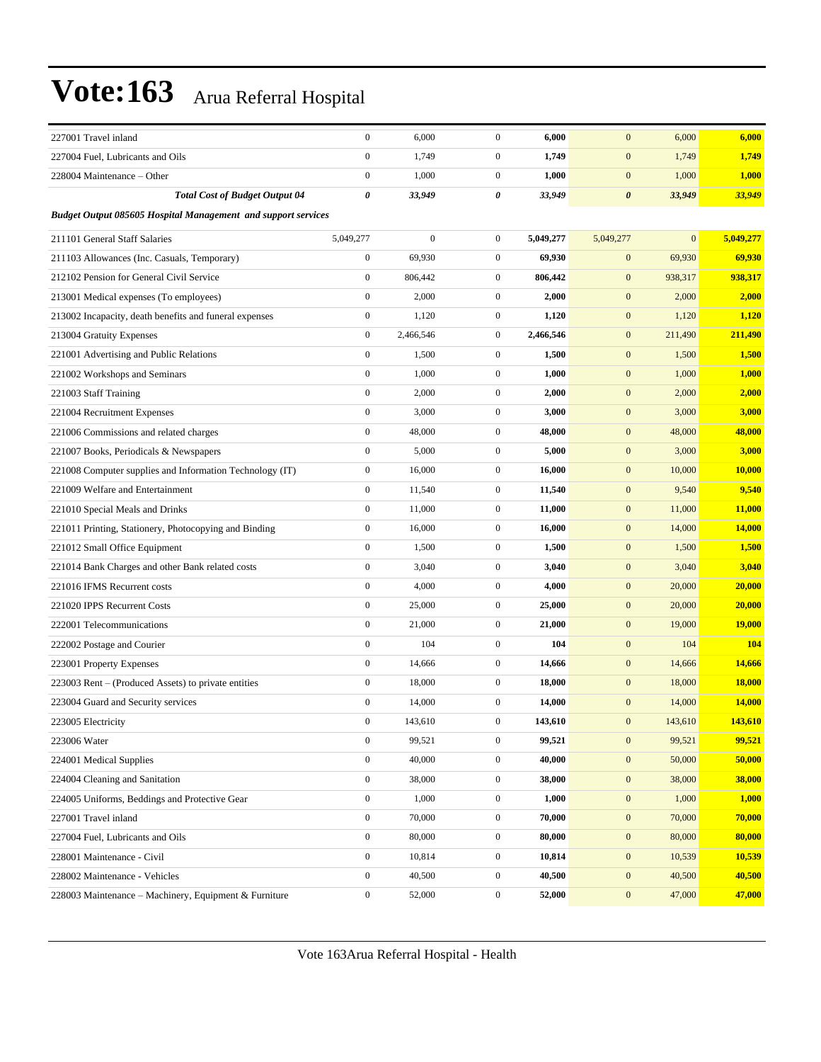| 227001 Travel inland                                          | $\boldsymbol{0}$ | 6,000            | $\mathbf{0}$     | 6,000     | $\mathbf{0}$          | 6,000          | 6,000        |
|---------------------------------------------------------------|------------------|------------------|------------------|-----------|-----------------------|----------------|--------------|
| 227004 Fuel, Lubricants and Oils                              | $\boldsymbol{0}$ | 1,749            | $\boldsymbol{0}$ | 1,749     | $\mathbf{0}$          | 1,749          | 1,749        |
| 228004 Maintenance – Other                                    | $\boldsymbol{0}$ | 1,000            | $\mathbf{0}$     | 1,000     | $\mathbf{0}$          | 1,000          | 1,000        |
| <b>Total Cost of Budget Output 04</b>                         | 0                | 33,949           | 0                | 33,949    | $\boldsymbol{\theta}$ | 33,949         | 33,949       |
| Budget Output 085605 Hospital Management and support services |                  |                  |                  |           |                       |                |              |
| 211101 General Staff Salaries                                 | 5,049,277        | $\boldsymbol{0}$ | $\mathbf{0}$     | 5,049,277 | 5,049,277             | $\overline{0}$ | 5,049,277    |
| 211103 Allowances (Inc. Casuals, Temporary)                   | $\boldsymbol{0}$ | 69,930           | $\mathbf{0}$     | 69,930    | $\mathbf{0}$          | 69,930         | 69,930       |
| 212102 Pension for General Civil Service                      | $\boldsymbol{0}$ | 806,442          | $\mathbf{0}$     | 806,442   | $\mathbf{0}$          | 938,317        | 938,317      |
| 213001 Medical expenses (To employees)                        | $\boldsymbol{0}$ | 2,000            | $\mathbf{0}$     | 2,000     | $\mathbf{0}$          | 2,000          | 2,000        |
| 213002 Incapacity, death benefits and funeral expenses        | $\boldsymbol{0}$ | 1,120            | $\mathbf{0}$     | 1,120     | $\boldsymbol{0}$      | 1,120          | 1,120        |
| 213004 Gratuity Expenses                                      | $\boldsymbol{0}$ | 2,466,546        | $\mathbf{0}$     | 2,466,546 | $\boldsymbol{0}$      | 211,490        | 211,490      |
| 221001 Advertising and Public Relations                       | $\boldsymbol{0}$ | 1,500            | $\mathbf{0}$     | 1,500     | $\boldsymbol{0}$      | 1,500          | <b>1,500</b> |
| 221002 Workshops and Seminars                                 | $\boldsymbol{0}$ | 1,000            | $\mathbf{0}$     | 1,000     | $\mathbf{0}$          | 1,000          | 1,000        |
| 221003 Staff Training                                         | $\boldsymbol{0}$ | 2,000            | $\mathbf{0}$     | 2,000     | $\mathbf{0}$          | 2,000          | 2,000        |
| 221004 Recruitment Expenses                                   | $\boldsymbol{0}$ | 3,000            | $\mathbf{0}$     | 3,000     | $\boldsymbol{0}$      | 3,000          | 3,000        |
| 221006 Commissions and related charges                        | $\boldsymbol{0}$ | 48,000           | $\mathbf{0}$     | 48,000    | $\boldsymbol{0}$      | 48,000         | 48,000       |
| 221007 Books, Periodicals & Newspapers                        | $\boldsymbol{0}$ | 5,000            | $\mathbf{0}$     | 5,000     | $\boldsymbol{0}$      | 3,000          | 3,000        |
| 221008 Computer supplies and Information Technology (IT)      | $\boldsymbol{0}$ | 16,000           | $\mathbf{0}$     | 16,000    | $\mathbf{0}$          | 10,000         | 10,000       |
| 221009 Welfare and Entertainment                              | $\boldsymbol{0}$ | 11,540           | $\mathbf{0}$     | 11,540    | $\mathbf{0}$          | 9,540          | 9,540        |
| 221010 Special Meals and Drinks                               | $\boldsymbol{0}$ | 11,000           | $\boldsymbol{0}$ | 11,000    | $\boldsymbol{0}$      | 11,000         | 11,000       |
| 221011 Printing, Stationery, Photocopying and Binding         | $\boldsymbol{0}$ | 16,000           | $\mathbf{0}$     | 16,000    | $\boldsymbol{0}$      | 14,000         | 14,000       |
| 221012 Small Office Equipment                                 | $\boldsymbol{0}$ | 1,500            | $\mathbf{0}$     | 1,500     | $\mathbf{0}$          | 1,500          | 1,500        |
| 221014 Bank Charges and other Bank related costs              | $\boldsymbol{0}$ | 3,040            | $\mathbf{0}$     | 3,040     | $\mathbf{0}$          | 3,040          | 3,040        |
| 221016 IFMS Recurrent costs                                   | $\boldsymbol{0}$ | 4,000            | $\mathbf{0}$     | 4,000     | $\mathbf{0}$          | 20,000         | 20,000       |
| 221020 IPPS Recurrent Costs                                   | $\boldsymbol{0}$ | 25,000           | $\mathbf{0}$     | 25,000    | $\boldsymbol{0}$      | 20,000         | 20,000       |
| 222001 Telecommunications                                     | $\boldsymbol{0}$ | 21,000           | $\mathbf{0}$     | 21,000    | $\boldsymbol{0}$      | 19,000         | 19,000       |
| 222002 Postage and Courier                                    | $\boldsymbol{0}$ | 104              | $\mathbf{0}$     | 104       | $\mathbf{0}$          | 104            | 104          |
| 223001 Property Expenses                                      | $\boldsymbol{0}$ | 14,666           | $\mathbf{0}$     | 14,666    | $\mathbf{0}$          | 14,666         | 14,666       |
| 223003 Rent - (Produced Assets) to private entities           | $\boldsymbol{0}$ | 18,000           | $\mathbf{0}$     | 18,000    | $\mathbf{0}$          | 18,000         | 18,000       |
| 223004 Guard and Security services                            | $\boldsymbol{0}$ | 14,000           | $\mathbf{0}$     | 14,000    | $\mathbf{0}$          | 14,000         | 14,000       |
| 223005 Electricity                                            | 0                | 143,610          | 0                | 143,610   | $\boldsymbol{0}$      | 143,610        | 143,610      |
| 223006 Water                                                  | $\overline{0}$   | 99,521           | $\boldsymbol{0}$ | 99,521    | $\boldsymbol{0}$      | 99,521         | 99,521       |
| 224001 Medical Supplies                                       | $\boldsymbol{0}$ | 40,000           | $\boldsymbol{0}$ | 40,000    | $\boldsymbol{0}$      | 50,000         | 50,000       |
| 224004 Cleaning and Sanitation                                | $\boldsymbol{0}$ | 38,000           | $\boldsymbol{0}$ | 38,000    | $\boldsymbol{0}$      | 38,000         | 38,000       |
| 224005 Uniforms, Beddings and Protective Gear                 | $\boldsymbol{0}$ | 1,000            | $\boldsymbol{0}$ | 1,000     | $\boldsymbol{0}$      | 1,000          | 1,000        |
| 227001 Travel inland                                          | $\boldsymbol{0}$ | 70,000           | $\boldsymbol{0}$ | 70,000    | $\boldsymbol{0}$      | 70,000         | 70,000       |
| 227004 Fuel, Lubricants and Oils                              | $\boldsymbol{0}$ | 80,000           | $\boldsymbol{0}$ | 80,000    | $\boldsymbol{0}$      | 80,000         | 80,000       |
| 228001 Maintenance - Civil                                    | $\boldsymbol{0}$ | 10,814           | $\boldsymbol{0}$ | 10,814    | $\boldsymbol{0}$      | 10,539         | 10,539       |
| 228002 Maintenance - Vehicles                                 | $\boldsymbol{0}$ | 40,500           | $\boldsymbol{0}$ | 40,500    | $\boldsymbol{0}$      | 40,500         | 40,500       |
| 228003 Maintenance - Machinery, Equipment & Furniture         | $\boldsymbol{0}$ | 52,000           | $\boldsymbol{0}$ | 52,000    | $\boldsymbol{0}$      | 47,000         | 47,000       |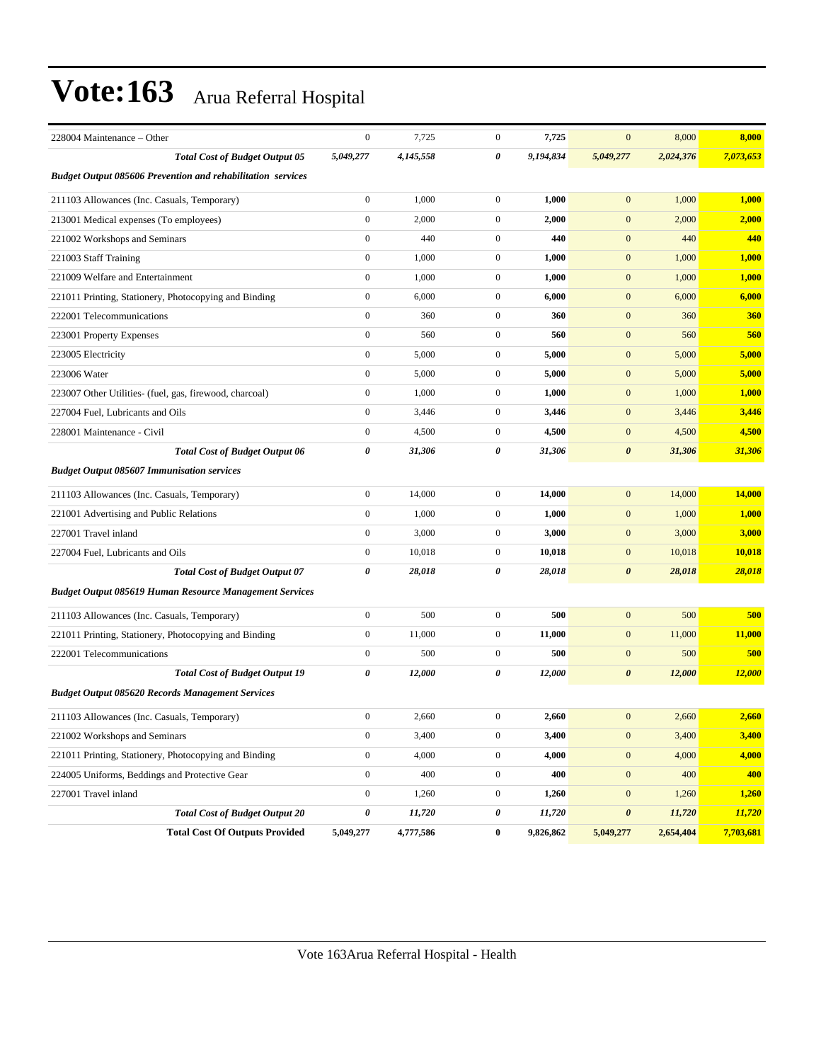| 228004 Maintenance – Other                                         | $\boldsymbol{0}$ | 7,725     | $\mathbf{0}$     | 7,725     | $\boldsymbol{0}$      | 8,000     | 8,000         |
|--------------------------------------------------------------------|------------------|-----------|------------------|-----------|-----------------------|-----------|---------------|
| <b>Total Cost of Budget Output 05</b>                              | 5,049,277        | 4,145,558 | 0                | 9,194,834 | 5,049,277             | 2,024,376 | 7,073,653     |
| <b>Budget Output 085606 Prevention and rehabilitation services</b> |                  |           |                  |           |                       |           |               |
| 211103 Allowances (Inc. Casuals, Temporary)                        | $\boldsymbol{0}$ | 1,000     | $\mathbf{0}$     | 1,000     | $\mathbf{0}$          | 1,000     | 1,000         |
| 213001 Medical expenses (To employees)                             | $\boldsymbol{0}$ | 2,000     | $\mathbf{0}$     | 2,000     | $\mathbf{0}$          | 2,000     | 2,000         |
| 221002 Workshops and Seminars                                      | $\boldsymbol{0}$ | 440       | $\boldsymbol{0}$ | 440       | $\mathbf{0}$          | 440       | 440           |
| 221003 Staff Training                                              | $\boldsymbol{0}$ | 1,000     | $\mathbf{0}$     | 1,000     | $\mathbf{0}$          | 1,000     | 1,000         |
| 221009 Welfare and Entertainment                                   | $\boldsymbol{0}$ | 1,000     | $\mathbf{0}$     | 1,000     | $\mathbf{0}$          | 1,000     | 1,000         |
| 221011 Printing, Stationery, Photocopying and Binding              | $\boldsymbol{0}$ | 6,000     | $\mathbf{0}$     | 6,000     | $\mathbf{0}$          | 6,000     | 6,000         |
| 222001 Telecommunications                                          | $\boldsymbol{0}$ | 360       | $\mathbf{0}$     | 360       | $\mathbf{0}$          | 360       | <b>360</b>    |
| 223001 Property Expenses                                           | $\boldsymbol{0}$ | 560       | $\boldsymbol{0}$ | 560       | $\mathbf{0}$          | 560       | 560           |
| 223005 Electricity                                                 | $\boldsymbol{0}$ | 5,000     | $\mathbf{0}$     | 5,000     | $\mathbf{0}$          | 5,000     | 5,000         |
| 223006 Water                                                       | $\boldsymbol{0}$ | 5,000     | $\mathbf{0}$     | 5,000     | $\mathbf{0}$          | 5,000     | 5,000         |
| 223007 Other Utilities- (fuel, gas, firewood, charcoal)            | $\boldsymbol{0}$ | 1,000     | $\mathbf{0}$     | 1,000     | $\mathbf{0}$          | 1,000     | 1,000         |
| 227004 Fuel, Lubricants and Oils                                   | $\boldsymbol{0}$ | 3,446     | $\mathbf{0}$     | 3,446     | $\mathbf{0}$          | 3,446     | 3,446         |
| 228001 Maintenance - Civil                                         | $\boldsymbol{0}$ | 4,500     | $\mathbf{0}$     | 4,500     | $\mathbf{0}$          | 4,500     | 4,500         |
| <b>Total Cost of Budget Output 06</b>                              | 0                | 31,306    | 0                | 31,306    | $\boldsymbol{\theta}$ | 31,306    | 31,306        |
| <b>Budget Output 085607 Immunisation services</b>                  |                  |           |                  |           |                       |           |               |
| 211103 Allowances (Inc. Casuals, Temporary)                        | $\boldsymbol{0}$ | 14,000    | $\mathbf{0}$     | 14,000    | $\mathbf{0}$          | 14,000    | 14,000        |
| 221001 Advertising and Public Relations                            | $\boldsymbol{0}$ | 1,000     | $\mathbf{0}$     | 1,000     | $\mathbf{0}$          | 1,000     | 1,000         |
| 227001 Travel inland                                               | $\boldsymbol{0}$ | 3,000     | $\mathbf{0}$     | 3,000     | $\mathbf{0}$          | 3,000     | 3,000         |
| 227004 Fuel, Lubricants and Oils                                   | $\boldsymbol{0}$ | 10,018    | $\mathbf{0}$     | 10,018    | $\mathbf{0}$          | 10,018    | 10,018        |
| <b>Total Cost of Budget Output 07</b>                              | 0                | 28,018    | 0                | 28,018    | $\boldsymbol{\theta}$ | 28,018    | 28,018        |
| <b>Budget Output 085619 Human Resource Management Services</b>     |                  |           |                  |           |                       |           |               |
| 211103 Allowances (Inc. Casuals, Temporary)                        | $\boldsymbol{0}$ | 500       | $\mathbf{0}$     | 500       | $\mathbf{0}$          | 500       | 500           |
| 221011 Printing, Stationery, Photocopying and Binding              | $\boldsymbol{0}$ | 11,000    | $\mathbf{0}$     | 11,000    | $\mathbf{0}$          | 11,000    | 11,000        |
| 222001 Telecommunications                                          | $\boldsymbol{0}$ | 500       | $\mathbf{0}$     | 500       | $\mathbf{0}$          | 500       | 500           |
| <b>Total Cost of Budget Output 19</b>                              | 0                | 12,000    | 0                | 12,000    | $\boldsymbol{\theta}$ | 12,000    | <b>12,000</b> |
| <b>Budget Output 085620 Records Management Services</b>            |                  |           |                  |           |                       |           |               |
| 211103 Allowances (Inc. Casuals, Temporary)                        | $\boldsymbol{0}$ | 2,660     | $\mathbf{0}$     | 2,660     | $\mathbf{0}$          | 2,660     | 2,660         |
| 221002 Workshops and Seminars                                      | $\boldsymbol{0}$ | 3,400     | $\boldsymbol{0}$ | 3,400     | $\boldsymbol{0}$      | 3,400     | 3,400         |
| 221011 Printing, Stationery, Photocopying and Binding              | $\boldsymbol{0}$ | 4,000     | $\boldsymbol{0}$ | 4,000     | $\mathbf{0}$          | 4,000     | 4,000         |
| 224005 Uniforms, Beddings and Protective Gear                      | $\boldsymbol{0}$ | 400       | $\boldsymbol{0}$ | 400       | $\boldsymbol{0}$      | 400       | 400           |
| 227001 Travel inland                                               | $\boldsymbol{0}$ | 1,260     | $\boldsymbol{0}$ | 1,260     | $\mathbf{0}$          | 1,260     | 1,260         |
| <b>Total Cost of Budget Output 20</b>                              | 0                | 11,720    | 0                | 11,720    | $\pmb{\theta}$        | 11,720    | 11,720        |
| <b>Total Cost Of Outputs Provided</b>                              | 5,049,277        | 4,777,586 | $\bf{0}$         | 9,826,862 | 5,049,277             | 2,654,404 | 7,703,681     |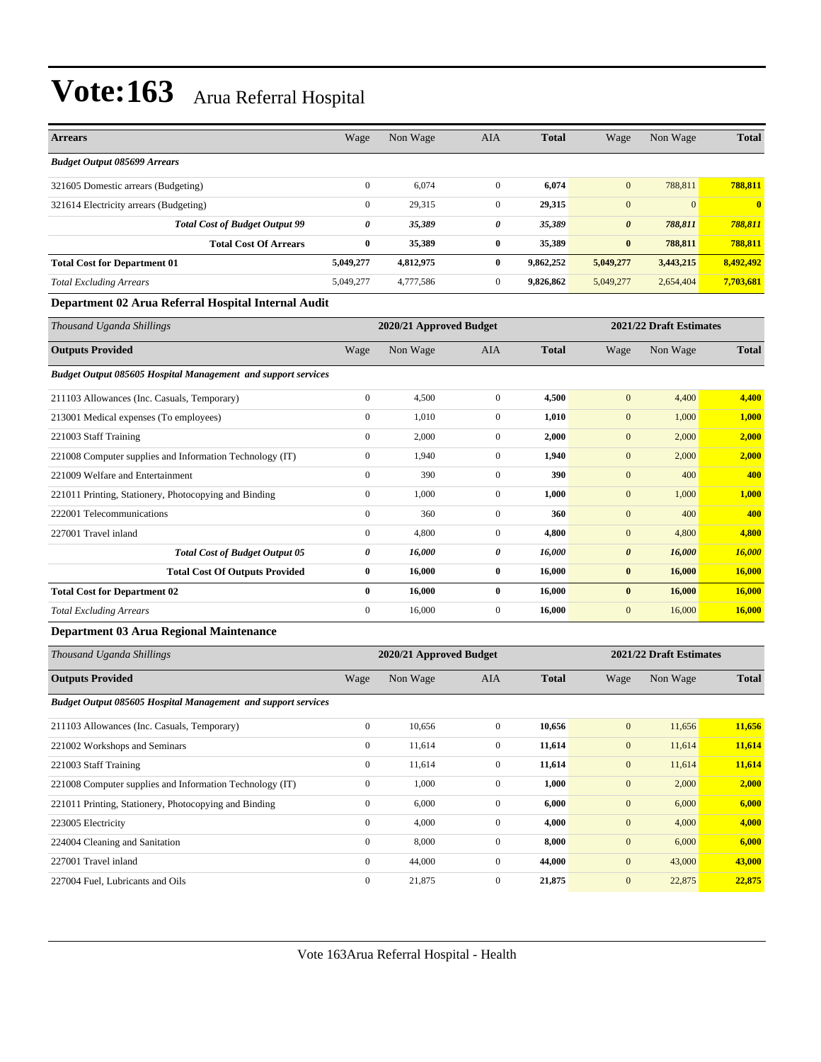| <b>Arrears</b>                                                       | Wage             | Non Wage                | <b>AIA</b>       | <b>Total</b> | Wage                  | Non Wage                | <b>Total</b> |
|----------------------------------------------------------------------|------------------|-------------------------|------------------|--------------|-----------------------|-------------------------|--------------|
| <b>Budget Output 085699 Arrears</b>                                  |                  |                         |                  |              |                       |                         |              |
| 321605 Domestic arrears (Budgeting)                                  | $\boldsymbol{0}$ | 6,074                   | $\boldsymbol{0}$ | 6,074        | $\mathbf{0}$          | 788,811                 | 788,811      |
| 321614 Electricity arrears (Budgeting)                               | $\boldsymbol{0}$ | 29,315                  | $\boldsymbol{0}$ | 29,315       | $\mathbf{0}$          | $\mathbf{0}$            | $\mathbf{0}$ |
| <b>Total Cost of Budget Output 99</b>                                | 0                | 35,389                  | 0                | 35,389       | $\boldsymbol{\theta}$ | 788,811                 | 788,811      |
| <b>Total Cost Of Arrears</b>                                         | $\bf{0}$         | 35,389                  | 0                | 35,389       | $\bf{0}$              | 788,811                 | 788,811      |
| <b>Total Cost for Department 01</b>                                  | 5,049,277        | 4,812,975               | 0                | 9,862,252    | 5,049,277             | 3,443,215               | 8,492,492    |
| <b>Total Excluding Arrears</b>                                       | 5,049,277        | 4,777,586               | $\boldsymbol{0}$ | 9,826,862    | 5,049,277             | 2,654,404               | 7,703,681    |
| Department 02 Arua Referral Hospital Internal Audit                  |                  |                         |                  |              |                       |                         |              |
| Thousand Uganda Shillings                                            |                  | 2020/21 Approved Budget |                  |              |                       | 2021/22 Draft Estimates |              |
| <b>Outputs Provided</b>                                              | Wage             | Non Wage                | AIA              | <b>Total</b> | Wage                  | Non Wage                | <b>Total</b> |
| <b>Budget Output 085605 Hospital Management and support services</b> |                  |                         |                  |              |                       |                         |              |
| 211103 Allowances (Inc. Casuals, Temporary)                          | $\boldsymbol{0}$ | 4,500                   | $\boldsymbol{0}$ | 4,500        | $\bf{0}$              | 4,400                   | 4,400        |
| 213001 Medical expenses (To employees)                               | $\boldsymbol{0}$ | 1,010                   | $\boldsymbol{0}$ | 1,010        | $\mathbf{0}$          | 1,000                   | 1,000        |
| 221003 Staff Training                                                | $\mathbf{0}$     | 2,000                   | $\boldsymbol{0}$ | 2,000        | $\mathbf{0}$          | 2,000                   | 2,000        |
| 221008 Computer supplies and Information Technology (IT)             | $\boldsymbol{0}$ | 1,940                   | $\boldsymbol{0}$ | 1,940        | $\mathbf{0}$          | 2,000                   | 2,000        |
| 221009 Welfare and Entertainment                                     | $\boldsymbol{0}$ | 390                     | $\boldsymbol{0}$ | 390          | $\mathbf{0}$          | 400                     | 400          |
| 221011 Printing, Stationery, Photocopying and Binding                | $\boldsymbol{0}$ | 1,000                   | $\boldsymbol{0}$ | 1,000        | $\mathbf{0}$          | 1,000                   | 1,000        |
| 222001 Telecommunications                                            | $\boldsymbol{0}$ | 360                     | $\boldsymbol{0}$ | 360          | $\mathbf{0}$          | 400                     | 400          |
| 227001 Travel inland                                                 | $\mathbf{0}$     | 4,800                   | $\boldsymbol{0}$ | 4,800        | $\mathbf{0}$          | 4,800                   | 4,800        |
| <b>Total Cost of Budget Output 05</b>                                | 0                | 16,000                  | 0                | 16,000       | $\boldsymbol{\theta}$ | 16,000                  | 16,000       |
| <b>Total Cost Of Outputs Provided</b>                                | $\bf{0}$         | 16,000                  | 0                | 16,000       | $\bf{0}$              | 16,000                  | 16,000       |
| <b>Total Cost for Department 02</b>                                  | $\bf{0}$         | 16,000                  | 0                | 16,000       | $\bf{0}$              | 16,000                  | 16,000       |
| <b>Total Excluding Arrears</b>                                       | $\boldsymbol{0}$ | 16,000                  | $\boldsymbol{0}$ | 16,000       | $\mathbf{0}$          | 16,000                  | 16,000       |
| Department 03 Arua Regional Maintenance                              |                  |                         |                  |              |                       |                         |              |
| Thousand Uganda Shillings                                            |                  | 2020/21 Approved Budget |                  |              |                       | 2021/22 Draft Estimates |              |
| <b>Outputs Provided</b>                                              | Wage             | Non Wage                | AIA              | <b>Total</b> | Wage                  | Non Wage                | <b>Total</b> |
| <b>Budget Output 085605 Hospital Management and support services</b> |                  |                         |                  |              |                       |                         |              |
| 211103 Allowances (Inc. Casuals, Temporary)                          | $\overline{0}$   | 10,656                  | $\overline{0}$   | 10,656       | $\bf{0}$              | 11,656                  | 11,656       |
| 221002 Workshops and Seminars                                        | $\boldsymbol{0}$ | 11,614                  | $\boldsymbol{0}$ | 11,614       | $\mathbf{0}$          | 11,614                  | 11,614       |
| 221003 Staff Training                                                | $\boldsymbol{0}$ | 11,614                  | $\boldsymbol{0}$ | 11,614       | $\boldsymbol{0}$      | 11,614                  | 11,614       |
| 221008 Computer supplies and Information Technology (IT)             | $\boldsymbol{0}$ | 1,000                   | $\boldsymbol{0}$ | 1,000        | $\boldsymbol{0}$      | 2,000                   | 2,000        |
| 221011 Printing, Stationery, Photocopying and Binding                | $\boldsymbol{0}$ | 6,000                   | $\boldsymbol{0}$ | 6,000        | $\mathbf{0}$          | 6,000                   | 6,000        |
| 223005 Electricity                                                   | $\boldsymbol{0}$ | 4,000                   | $\boldsymbol{0}$ | 4,000        | $\boldsymbol{0}$      | 4,000                   | 4,000        |
| 224004 Cleaning and Sanitation                                       | $\boldsymbol{0}$ | 8,000                   | $\boldsymbol{0}$ | 8,000        | $\boldsymbol{0}$      | 6,000                   | 6,000        |
| 227001 Travel inland                                                 | $\boldsymbol{0}$ | 44,000                  | $\boldsymbol{0}$ | 44,000       | $\boldsymbol{0}$      | 43,000                  | 43,000       |
| 227004 Fuel, Lubricants and Oils                                     | $\boldsymbol{0}$ | 21,875                  | $\mathbf{0}$     | 21,875       | $\boldsymbol{0}$      | 22,875                  | 22,875       |